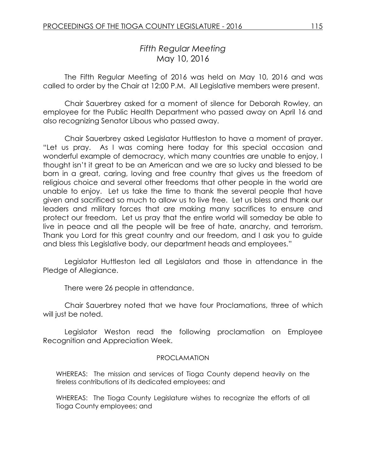# *Fifth Regular Meeting* May 10, 2016

The Fifth Regular Meeting of 2016 was held on May 10, 2016 and was called to order by the Chair at 12:00 P.M. All Legislative members were present.

Chair Sauerbrey asked for a moment of silence for Deborah Rowley, an employee for the Public Health Department who passed away on April 16 and also recognizing Senator Libous who passed away.

Chair Sauerbrey asked Legislator Huttleston to have a moment of prayer. "Let us pray. As I was coming here today for this special occasion and wonderful example of democracy, which many countries are unable to enjoy, I thought isn't it great to be an American and we are so lucky and blessed to be born in a great, caring, loving and free country that gives us the freedom of religious choice and several other freedoms that other people in the world are unable to enjoy. Let us take the time to thank the several people that have given and sacrificed so much to allow us to live free. Let us bless and thank our leaders and military forces that are making many sacrifices to ensure and protect our freedom. Let us pray that the entire world will someday be able to live in peace and all the people will be free of hate, anarchy, and terrorism. Thank you Lord for this great country and our freedom, and I ask you to guide and bless this Legislative body, our department heads and employees."

Legislator Huttleston led all Legislators and those in attendance in the Pledge of Allegiance.

There were 26 people in attendance.

Chair Sauerbrey noted that we have four Proclamations, three of which will just be noted.

Legislator Weston read the following proclamation on Employee Recognition and Appreciation Week.

#### PROCLAMATION

WHEREAS: The mission and services of Tioga County depend heavily on the tireless contributions of its dedicated employees; and

WHEREAS: The Tioga County Legislature wishes to recognize the efforts of all Tioga County employees; and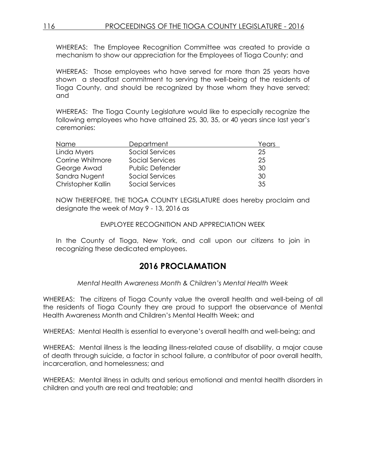WHEREAS: The Employee Recognition Committee was created to provide a mechanism to show our appreciation for the Employees of Tioga County; and

WHEREAS: Those employees who have served for more than 25 years have shown a steadfast commitment to serving the well-being of the residents of Tioga County, and should be recognized by those whom they have served; and

WHEREAS: The Tioga County Legislature would like to especially recognize the following employees who have attained 25, 30, 35, or 40 years since last year's ceremonies:

| Name               | Department             | Years |
|--------------------|------------------------|-------|
| Linda Myers        | Social Services        | 25    |
| Corrine Whitmore   | Social Services        | 25    |
| George Awad        | <b>Public Defender</b> | 30    |
| Sandra Nugent      | Social Services        | 30    |
| Christopher Kallin | Social Services        | 35    |

NOW THEREFORE, THE TIOGA COUNTY LEGISLATURE does hereby proclaim and designate the week of May 9 - 13, 2016 as

#### EMPLOYEE RECOGNITION AND APPRECIATION WEEK

In the County of Tioga, New York, and call upon our citizens to join in recognizing these dedicated employees.

# **2016 PROCLAMATION**

*Mental Health Awareness Month & Children's Mental Health Week* 

WHEREAS: The citizens of Tioga County value the overall health and well-being of all the residents of Tioga County they are proud to support the observance of Mental Health Awareness Month and Children's Mental Health Week; and

WHEREAS: Mental Health is essential to everyone's overall health and well-being; and

WHEREAS: Mental illness is the leading illness-related cause of disability, a major cause of death through suicide, a factor in school failure, a contributor of poor overall health, incarceration, and homelessness; and

WHEREAS: Mental illness in adults and serious emotional and mental health disorders in children and youth are real and treatable; and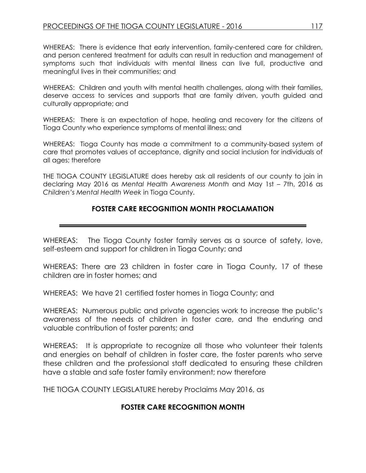WHEREAS: There is evidence that early intervention, family-centered care for children, and person centered treatment for adults can result in reduction and management of symptoms such that individuals with mental illness can live full, productive and meaningful lives in their communities; and

WHEREAS: Children and youth with mental health challenges, along with their families, deserve access to services and supports that are family driven, youth guided and culturally appropriate; and

WHEREAS: There is an expectation of hope, healing and recovery for the citizens of Tioga County who experience symptoms of mental illness; and

WHEREAS: Tioga County has made a commitment to a community-based system of care that promotes values of acceptance, dignity and social inclusion for individuals of all ages; therefore

THE TIOGA COUNTY LEGISLATURE does hereby ask all residents of our county to join in declaring May 2016 as *Mental Health Awareness Month* and May 1st – 7th, 2016 as *Children's Mental Health Week* in Tioga County.

# **FOSTER CARE RECOGNITION MONTH PROCLAMATION**

WHEREAS: The Tioga County foster family serves as a source of safety, love, self-esteem and support for children in Tioga County; and

WHEREAS: There are 23 children in foster care in Tioga County, 17 of these children are in foster homes; and

WHEREAS: We have 21 certified foster homes in Tioga County; and

WHEREAS: Numerous public and private agencies work to increase the public's awareness of the needs of children in foster care, and the enduring and valuable contribution of foster parents; and

WHEREAS: It is appropriate to recognize all those who volunteer their talents and energies on behalf of children in foster care, the foster parents who serve these children and the professional staff dedicated to ensuring these children have a stable and safe foster family environment; now therefore

THE TIOGA COUNTY LEGISLATURE hereby Proclaims May 2016, as

# **FOSTER CARE RECOGNITION MONTH**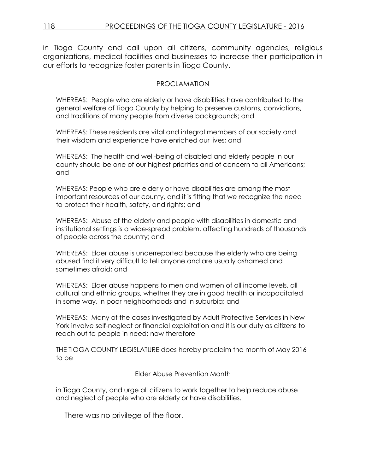in Tioga County and call upon all citizens, community agencies, religious organizations, medical facilities and businesses to increase their participation in our efforts to recognize foster parents in Tioga County.

#### PROCLAMATION

WHEREAS: People who are elderly or have disabilities have contributed to the general welfare of Tioga County by helping to preserve customs, convictions, and traditions of many people from diverse backgrounds; and

WHEREAS: These residents are vital and integral members of our society and their wisdom and experience have enriched our lives; and

WHEREAS: The health and well-being of disabled and elderly people in our county should be one of our highest priorities and of concern to all Americans; and

WHEREAS: People who are elderly or have disabilities are among the most important resources of our county, and it is fitting that we recognize the need to protect their health, safety, and rights; and

WHEREAS: Abuse of the elderly and people with disabilities in domestic and institutional settings is a wide-spread problem, affecting hundreds of thousands of people across the country; and

WHEREAS: Elder abuse is underreported because the elderly who are being abused find it very difficult to tell anyone and are usually ashamed and sometimes afraid; and

WHEREAS: Elder abuse happens to men and women of all income levels, all cultural and ethnic groups, whether they are in good health or incapacitated in some way, in poor neighborhoods and in suburbia; and

WHEREAS: Many of the cases investigated by Adult Protective Services in New York involve self-neglect or financial exploitation and it is our duty as citizens to reach out to people in need; now therefore

THE TIOGA COUNTY LEGISLATURE does hereby proclaim the month of May 2016 to be

Elder Abuse Prevention Month

in Tioga County, and urge all citizens to work together to help reduce abuse and neglect of people who are elderly or have disabilities.

There was no privilege of the floor.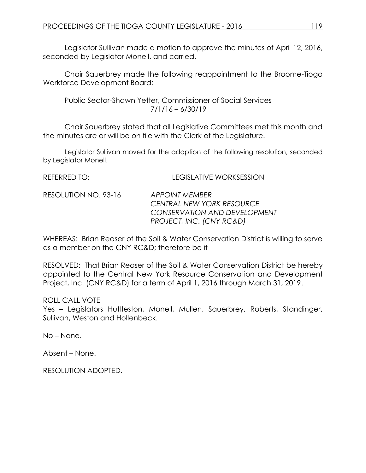Legislator Sullivan made a motion to approve the minutes of April 12, 2016, seconded by Legislator Monell, and carried.

Chair Sauerbrey made the following reappointment to the Broome-Tioga Workforce Development Board:

Public Sector-Shawn Yetter, Commissioner of Social Services 7/1/16 – 6/30/19

Chair Sauerbrey stated that all Legislative Committees met this month and the minutes are or will be on file with the Clerk of the Legislature.

Legislator Sullivan moved for the adoption of the following resolution, seconded by Legislator Monell.

| ILLI LINNLLI IV.     | LLUIJLI III I L-I I UNIJLJJIU I I                                                                       |
|----------------------|---------------------------------------------------------------------------------------------------------|
| RESOLUTION NO. 93-16 | APPOINT MEMBER<br>CENTRAL NEW YORK RESOURCE<br>CONSERVATION AND DEVELOPMENT<br>PROJECT, INC. (CNY RC&D) |
|                      |                                                                                                         |

REFERRED TO: LEGISLATIVE WORKSESSION

WHEREAS: Brian Reaser of the Soil & Water Conservation District is willing to serve as a member on the CNY RC&D; therefore be it

RESOLVED: That Brian Reaser of the Soil & Water Conservation District be hereby appointed to the Central New York Resource Conservation and Development Project, Inc. (CNY RC&D) for a term of April 1, 2016 through March 31, 2019.

ROLL CALL VOTE

Yes – Legislators Huttleston, Monell, Mullen, Sauerbrey, Roberts, Standinger, Sullivan, Weston and Hollenbeck.

No – None.

Absent – None.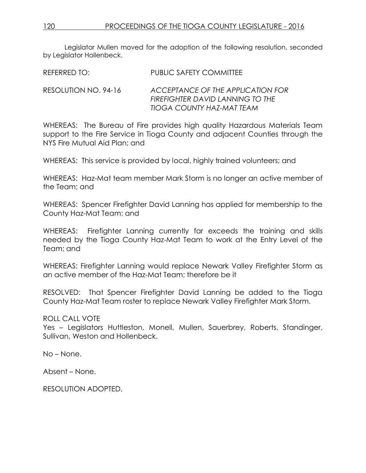Legislator Mullen moved for the adoption of the following resolution, seconded by Legislator Hollenbeck.

REFERRED TO: PUBLIC SAFETY COMMITTEE

RESOLUTION NO. 94-16 *ACCEPTANCE OF THE APPLICATION FOR FIREFIGHTER DAVID LANNING TO THE TIOGA COUNTY HAZ-MAT TEAM*

WHEREAS: The Bureau of Fire provides high quality Hazardous Materials Team support to the Fire Service in Tioga County and adjacent Counties through the NYS Fire Mutual Aid Plan; and

WHEREAS: This service is provided by local, highly trained volunteers; and

WHEREAS: Haz-Mat team member Mark Storm is no longer an active member of the Team; and

WHEREAS: Spencer Firefighter David Lanning has applied for membership to the County Haz-Mat Team; and

WHEREAS: Firefighter Lanning currently far exceeds the training and skills needed by the Tioga County Haz-Mat Team to work at the Entry Level of the Team; and

WHEREAS: Firefighter Lanning would replace Newark Valley Firefighter Storm as an active member of the Haz-Mat Team; therefore be it

RESOLVED: That Spencer Firefighter David Lanning be added to the Tioga County Haz-Mat Team roster to replace Newark Valley Firefighter Mark Storm.

# ROLL CALL VOTE

Yes – Legislators Huttleston, Monell, Mullen, Sauerbrey, Roberts, Standinger, Sullivan, Weston and Hollenbeck.

No – None.

Absent – None.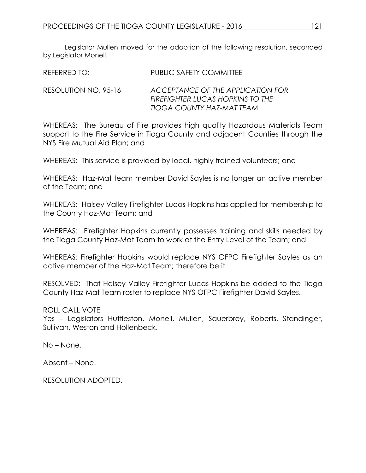Legislator Mullen moved for the adoption of the following resolution, seconded by Legislator Monell.

| <b>REFERRED TO:</b> | <b>PUBLIC SAFETY COMMITTEE</b> |
|---------------------|--------------------------------|
|                     |                                |

RESOLUTION NO. 95-16 *ACCEPTANCE OF THE APPLICATION FOR FIREFIGHTER LUCAS HOPKINS TO THE TIOGA COUNTY HAZ-MAT TEAM*

WHEREAS: The Bureau of Fire provides high quality Hazardous Materials Team support to the Fire Service in Tioga County and adjacent Counties through the NYS Fire Mutual Aid Plan; and

WHEREAS: This service is provided by local, highly trained volunteers; and

WHEREAS: Haz-Mat team member David Sayles is no longer an active member of the Team; and

WHEREAS: Halsey Valley Firefighter Lucas Hopkins has applied for membership to the County Haz-Mat Team; and

WHEREAS: Firefighter Hopkins currently possesses training and skills needed by the Tioga County Haz-Mat Team to work at the Entry Level of the Team; and

WHEREAS: Firefighter Hopkins would replace NYS OFPC Firefighter Sayles as an active member of the Haz-Mat Team; therefore be it

RESOLVED: That Halsey Valley Firefighter Lucas Hopkins be added to the Tioga County Haz-Mat Team roster to replace NYS OFPC Firefighter David Sayles.

#### ROLL CALL VOTE

Yes – Legislators Huttleston, Monell, Mullen, Sauerbrey, Roberts, Standinger, Sullivan, Weston and Hollenbeck.

No – None.

Absent – None.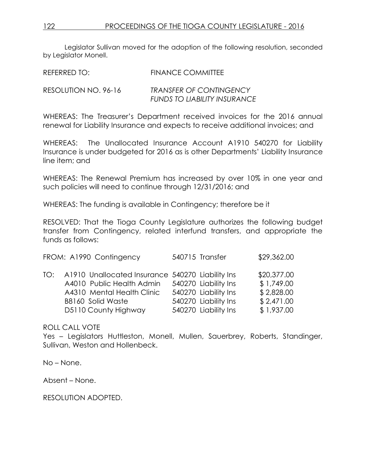Legislator Sullivan moved for the adoption of the following resolution, seconded by Legislator Monell.

| REFERRED TO:         | <b>FINANCE COMMITTEE</b>                                              |
|----------------------|-----------------------------------------------------------------------|
| RESOLUTION NO. 96-16 | <b>TRANSFER OF CONTINGENCY</b><br><b>FUNDS TO LIABILITY INSURANCE</b> |

WHEREAS: The Treasurer's Department received invoices for the 2016 annual renewal for Liability Insurance and expects to receive additional invoices; and

WHEREAS: The Unallocated Insurance Account A1910 540270 for Liability Insurance is under budgeted for 2016 as is other Departments' Liability Insurance line item; and

WHEREAS: The Renewal Premium has increased by over 10% in one year and such policies will need to continue through 12/31/2016; and

WHEREAS: The funding is available in Contingency; therefore be it

RESOLVED: That the Tioga County Legislature authorizes the following budget transfer from Contingency, related interfund transfers, and appropriate the funds as follows:

| FROM: A1990 Contingency                              | 540715 Transfer      | \$29,362.00 |
|------------------------------------------------------|----------------------|-------------|
| TO: A1910 Unallocated Insurance 540270 Liability Ins |                      | \$20,377.00 |
| A4010 Public Health Admin                            | 540270 Liability Ins | \$1,749.00  |
| A4310 Mental Health Clinic                           | 540270 Liability Ins | \$2,828.00  |
| B8160 Solid Waste                                    | 540270 Liability Ins | \$2,471.00  |
| D5110 County Highway                                 | 540270 Liability Ins | \$1,937.00  |

ROLL CALL VOTE

Yes – Legislators Huttleston, Monell, Mullen, Sauerbrey, Roberts, Standinger, Sullivan, Weston and Hollenbeck.

No – None.

Absent – None.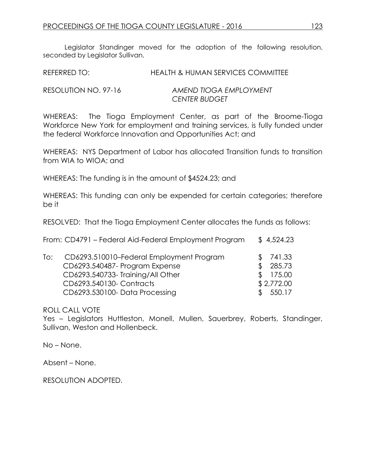Legislator Standinger moved for the adoption of the following resolution, seconded by Legislator Sullivan.

| <b>HEALTH &amp; HUMAN SERVICES COMMITTEE</b><br>REFERRED TO: |
|--------------------------------------------------------------|
|--------------------------------------------------------------|

RESOLUTION NO. 97-16 *AMEND TIOGA EMPLOYMENT CENTER BUDGET*

WHEREAS: The Tioga Employment Center, as part of the Broome-Tioga Workforce New York for employment and training services, is fully funded under the federal Workforce Innovation and Opportunities Act; and

WHEREAS: NYS Department of Labor has allocated Transition funds to transition from WIA to WIOA; and

WHEREAS: The funding is in the amount of \$4524.23; and

WHEREAS: This funding can only be expended for certain categories; therefore be it

RESOLVED: That the Tioga Employment Center allocates the funds as follows:

|     | From: CD4791 - Federal Aid-Federal Employment Program                                                                                      | \$4,524.23                                       |
|-----|--------------------------------------------------------------------------------------------------------------------------------------------|--------------------------------------------------|
| To: | CD6293.510010-Federal Employment Program<br>CD6293.540487- Program Expense<br>CD6293.540733-Training/All Other<br>CD6293.540130- Contracts | \$<br>\$741.33<br>285.73<br>175.00<br>\$2,772.00 |
|     | CD6293.530100-Data Processing                                                                                                              | 550.17                                           |

ROLL CALL VOTE

Yes - Legislators Huttleston, Monell, Mullen, Sauerbrey, Roberts, Standinger, Sullivan, Weston and Hollenbeck.

No – None.

Absent – None.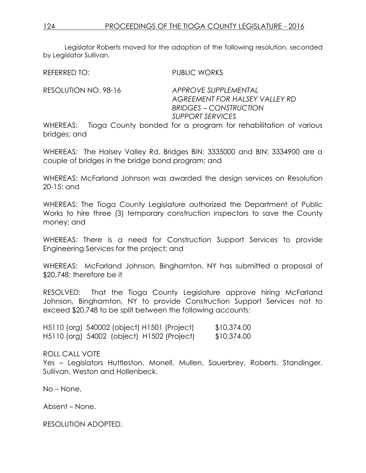Legislator Roberts moved for the adoption of the following resolution, seconded by Legislator Sullivan.

REFERRED TO: PUBLIC WORKS

RESOLUTION NO. 98-16 *APPROVE SUPPLEMENTAL* 

*AGREEMENT FOR HALSEY VALLEY RD BRIDGES – CONSTRUCTION SUPPORT SERVICES*

WHEREAS: Tioga County bonded for a program for rehabilitation of various bridges; and

WHEREAS: The Halsey Valley Rd. Bridges BIN: 3335000 and BIN: 3334900 are a couple of bridges in the bridge bond program; and

WHEREAS: McFarland Johnson was awarded the design services on Resolution 20-15; and

WHEREAS: The Tioga County Legislature authorized the Department of Public Works to hire three (3) temporary construction inspectors to save the County money; and

WHEREAS: There is a need for Construction Support Services to provide Engineering Services for the project; and

WHEREAS: McFarland Johnson, Binghamton, NY has submitted a proposal of \$20,748; therefore be it

RESOLVED: That the Tioga County Legislature approve hiring McFarland Johnson, Binghamton, NY to provide Construction Support Services not to exceed \$20,748 to be split between the following accounts:

H5110 (org) 540002 (object) H1501 (Project) \$10,374.00 H5110 (org) 54002 (object) H1502 (Project) \$10,374.00

ROLL CALL VOTE

Yes - Legislators Huttleston, Monell, Mullen, Sauerbrey, Roberts, Standinger, Sullivan, Weston and Hollenbeck.

No – None.

Absent – None.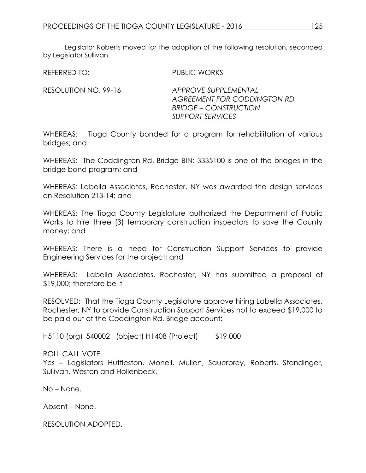Legislator Roberts moved for the adoption of the following resolution, seconded by Legislator Sullivan.

REFERRED TO: PUBLIC WORKS

RESOLUTION NO. 99-16 *APPROVE SUPPLEMENTAL AGREEMENT FOR CODDINGTON RD BRIDGE – CONSTRUCTION SUPPORT SERVICES*

WHEREAS: Tioga County bonded for a program for rehabilitation of various bridges; and

WHEREAS: The Coddington Rd. Bridge BIN: 3335100 is one of the bridges in the bridge bond program; and

WHEREAS: Labella Associates, Rochester, NY was awarded the design services on Resolution 213-14; and

WHEREAS: The Tioga County Legislature authorized the Department of Public Works to hire three (3) temporary construction inspectors to save the County money; and

WHEREAS: There is a need for Construction Support Services to provide Engineering Services for the project; and

WHEREAS: Labella Associates, Rochester, NY has submitted a proposal of \$19,000; therefore be it

RESOLVED: That the Tioga County Legislature approve hiring Labella Associates, Rochester, NY to provide Construction Support Services not to exceed \$19,000 to be paid out of the Coddington Rd. Bridge account:

H5110 (org) 540002 (object) H1408 (Project) \$19,000

# ROLL CALL VOTE

Yes – Legislators Huttleston, Monell, Mullen, Sauerbrey, Roberts, Standinger, Sullivan, Weston and Hollenbeck.

No – None.

Absent – None.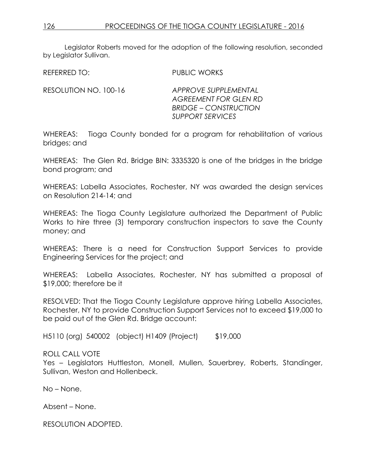Legislator Roberts moved for the adoption of the following resolution, seconded by Legislator Sullivan.

REFERRED TO: PUBLIC WORKS

RESOLUTION NO. 100-16 *APPROVE SUPPLEMENTAL* 

*AGREEMENT FOR GLEN RD BRIDGE – CONSTRUCTION SUPPORT SERVICES*

WHEREAS: Tioga County bonded for a program for rehabilitation of various bridges; and

WHEREAS: The Glen Rd. Bridge BIN: 3335320 is one of the bridges in the bridge bond program; and

WHEREAS: Labella Associates, Rochester, NY was awarded the design services on Resolution 214-14; and

WHEREAS: The Tioga County Legislature authorized the Department of Public Works to hire three (3) temporary construction inspectors to save the County money; and

WHEREAS: There is a need for Construction Support Services to provide Engineering Services for the project; and

WHEREAS: Labella Associates, Rochester, NY has submitted a proposal of \$19,000; therefore be it

RESOLVED: That the Tioga County Legislature approve hiring Labella Associates, Rochester, NY to provide Construction Support Services not to exceed \$19,000 to be paid out of the Glen Rd. Bridge account:

H5110 (org) 540002 (object) H1409 (Project) \$19,000

# ROLL CALL VOTE

Yes - Legislators Huttleston, Monell, Mullen, Sauerbrey, Roberts, Standinger, Sullivan, Weston and Hollenbeck.

No – None.

Absent – None.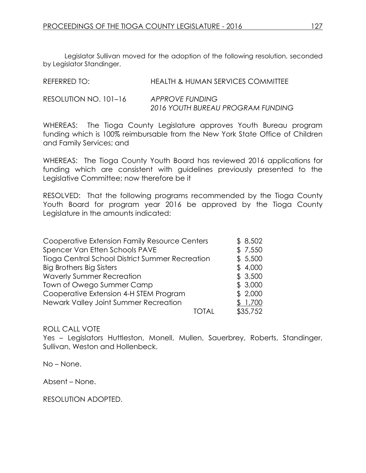Legislator Sullivan moved for the adoption of the following resolution, seconded by Legislator Standinger.

| REFERRED TO:          | HEALTH & HUMAN SERVICES COMMITTEE                    |
|-----------------------|------------------------------------------------------|
| RESOLUTION NO. 101–16 | APPROVE FUNDING<br>2016 YOUTH BUREAU PROGRAM FUNDING |

WHEREAS: The Tioga County Legislature approves Youth Bureau program funding which is 100% reimbursable from the New York State Office of Children and Family Services; and

WHEREAS: The Tioga County Youth Board has reviewed 2016 applications for funding which are consistent with guidelines previously presented to the Legislative Committee; now therefore be it

RESOLVED: That the following programs recommended by the Tioga County Youth Board for program year 2016 be approved by the Tioga County Legislature in the amounts indicated:

| Cooperative Extension Family Resource Centers   | \$8,502  |
|-------------------------------------------------|----------|
| Spencer Van Etten Schools PAVE                  | \$7,550  |
| Tioga Central School District Summer Recreation | \$5,500  |
| <b>Big Brothers Big Sisters</b>                 | \$4,000  |
| <b>Waverly Summer Recreation</b>                | \$3,500  |
| Town of Owego Summer Camp                       | \$3,000  |
| Cooperative Extension 4-H STEM Program          | \$2,000  |
| Newark Valley Joint Summer Recreation           | \$1,700  |
| TOTAL                                           | \$35,752 |

# ROLL CALL VOTE

Yes – Legislators Huttleston, Monell, Mullen, Sauerbrey, Roberts, Standinger, Sullivan, Weston and Hollenbeck.

No – None.

Absent – None.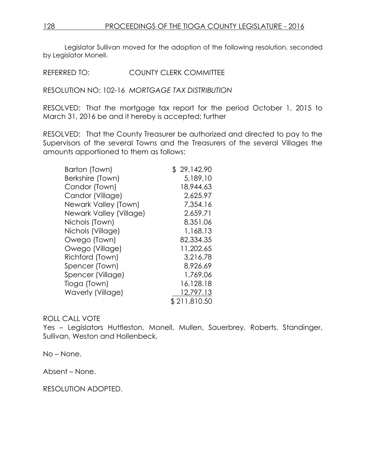Legislator Sullivan moved for the adoption of the following resolution, seconded by Legislator Monell.

REFERRED TO: COUNTY CLERK COMMITTEE

RESOLUTION NO: 102-16 *MORTGAGE TAX DISTRIBUTION*

RESOLVED: That the mortgage tax report for the period October 1, 2015 to March 31, 2016 be and it hereby is accepted; further

RESOLVED: That the County Treasurer be authorized and directed to pay to the Supervisors of the several Towns and the Treasurers of the several Villages the amounts apportioned to them as follows:

| Barton (Town)           | \$29,142.90  |
|-------------------------|--------------|
| Berkshire (Town)        | 5,189.10     |
| Candor (Town)           | 18,944.63    |
| Candor (Village)        | 2,625.97     |
| Newark Valley (Town)    | 7,354.16     |
| Newark Valley (Village) | 2,659.71     |
| Nichols (Town)          | 8,351.06     |
| Nichols (Village)       | 1,168.13     |
| Owego (Town)            | 82,334.35    |
| Owego (Village)         | 11,202.65    |
| Richford (Town)         | 3,216.78     |
| Spencer (Town)          | 8,926.69     |
| Spencer (Village)       | 1,769.06     |
| Tioga (Town)            | 16,128.18    |
| Waverly (Village)       | 12,797.13    |
|                         | \$211,810.50 |

# ROLL CALL VOTE

Yes – Legislators Huttleston, Monell, Mullen, Sauerbrey, Roberts, Standinger, Sullivan, Weston and Hollenbeck.

No – None.

Absent – None.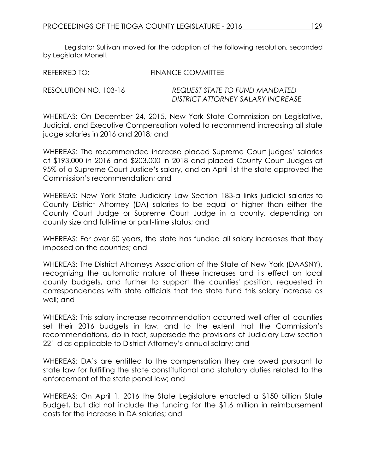Legislator Sullivan moved for the adoption of the following resolution, seconded by Legislator Monell.

| REFERRED TO:          | <b>FINANCE COMMITTEE</b>          |
|-----------------------|-----------------------------------|
| RESOLUTION NO. 103-16 | REQUEST STATE TO FUND MANDATED    |
|                       | DISTRICT ATTORNEY SALARY INCREASE |

WHEREAS: On December 24, 2015, New York State Commission on Legislative, Judicial, and Executive Compensation voted to recommend increasing all state judge salaries in 2016 and 2018; and

WHEREAS: The recommended increase placed Supreme Court judges' salaries at \$193,000 in 2016 and \$203,000 in 2018 and placed County Court Judges at 95% of a Supreme Court Justice's salary, and on April 1st the state approved the Commission's recommendation; and

WHEREAS: New York State Judiciary Law Section 183-a links judicial salaries to County District Attorney (DA) salaries to be equal or higher than either the County Court Judge or Supreme Court Judge in a county, depending on county size and full-time or part-time status; and

WHEREAS: For over 50 years, the state has funded all salary increases that they imposed on the counties; and

WHEREAS: The District Attorneys Association of the State of New York (DAASNY), recognizing the automatic nature of these increases and its effect on local county budgets, and further to support the counties' position, requested in correspondences with state officials that the state fund this salary increase as well; and

WHEREAS: This salary increase recommendation occurred well after all counties set their 2016 budgets in law, and to the extent that the Commission's recommendations, do in fact, supersede the provisions of Judiciary Law section 221-d as applicable to District Attorney's annual salary; and

WHEREAS: DA's are entitled to the compensation they are owed pursuant to state law for fulfilling the state constitutional and statutory duties related to the enforcement of the state penal law; and

WHEREAS: On April 1, 2016 the State Legislature enacted a \$150 billion State Budget, but did not include the funding for the \$1.6 million in reimbursement costs for the increase in DA salaries; and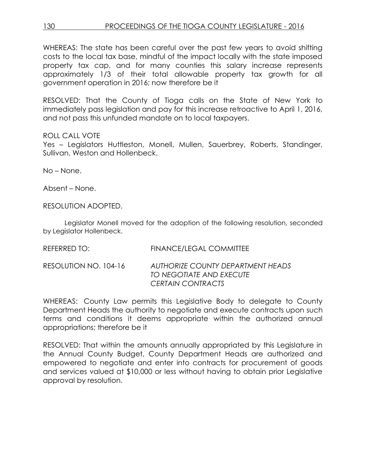WHEREAS: The state has been careful over the past few years to avoid shifting costs to the local tax base, mindful of the impact locally with the state imposed property tax cap, and for many counties this salary increase represents approximately 1/3 of their total allowable property tax growth for all government operation in 2016; now therefore be it

RESOLVED: That the County of Tioga calls on the State of New York to immediately pass legislation and pay for this increase retroactive to April 1, 2016, and not pass this unfunded mandate on to local taxpayers.

# ROLL CALL VOTE

Yes – Legislators Huttleston, Monell, Mullen, Sauerbrey, Roberts, Standinger, Sullivan, Weston and Hollenbeck.

No – None.

Absent – None.

RESOLUTION ADOPTED.

Legislator Monell moved for the adoption of the following resolution, seconded by Legislator Hollenbeck.

| REFERRED TO:          | FINANCE/LEGAL COMMITTEE                                                            |
|-----------------------|------------------------------------------------------------------------------------|
| RESOLUTION NO. 104-16 | AUTHORIZE COUNTY DEPARTMENT HEADS<br>TO NEGOTIATE AND EXECUTE<br>CERTAIN CONTRACTS |

WHEREAS: County Law permits this Legislative Body to delegate to County Department Heads the authority to negotiate and execute contracts upon such terms and conditions it deems appropriate within the authorized annual appropriations; therefore be it

RESOLVED: That within the amounts annually appropriated by this Legislature in the Annual County Budget, County Department Heads are authorized and empowered to negotiate and enter into contracts for procurement of goods and services valued at \$10,000 or less without having to obtain prior Legislative approval by resolution.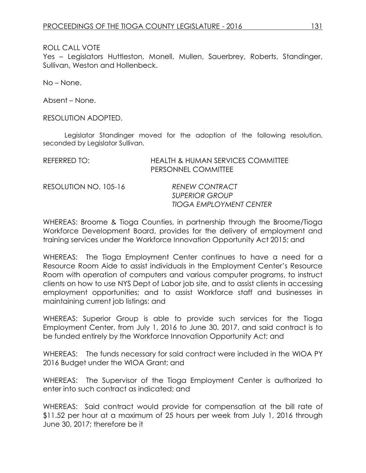ROLL CALL VOTE

Yes – Legislators Huttleston, Monell, Mullen, Sauerbrey, Roberts, Standinger, Sullivan, Weston and Hollenbeck.

No – None.

Absent – None.

RESOLUTION ADOPTED.

Legislator Standinger moved for the adoption of the following resolution, seconded by Legislator Sullivan.

| REFERRED TO:          | <b>HEALTH &amp; HUMAN SERVICES COMMITTEE</b><br>PERSONNEL COMMITTEE              |
|-----------------------|----------------------------------------------------------------------------------|
| RESOLUTION NO. 105-16 | <b>RENEW CONTRACT</b><br><b>SUPERIOR GROUP</b><br><b>TIOGA EMPLOYMENT CENTER</b> |

WHEREAS: Broome & Tioga Counties, in partnership through the Broome/Tioga Workforce Development Board, provides for the delivery of employment and training services under the Workforce Innovation Opportunity Act 2015; and

WHEREAS: The Tioga Employment Center continues to have a need for a Resource Room Aide to assist individuals in the Employment Center's Resource Room with operation of computers and various computer programs, to instruct clients on how to use NYS Dept of Labor job site, and to assist clients in accessing employment opportunities; and to assist Workforce staff and businesses in maintaining current job listings; and

WHEREAS: Superior Group is able to provide such services for the Tioga Employment Center, from July 1, 2016 to June 30, 2017, and said contract is to be funded entirely by the Workforce Innovation Opportunity Act; and

WHEREAS: The funds necessary for said contract were included in the WIOA PY 2016 Budget under the WIOA Grant; and

WHEREAS: The Supervisor of the Tioga Employment Center is authorized to enter into such contract as indicated; and

WHEREAS: Said contract would provide for compensation at the bill rate of \$11.52 per hour at a maximum of 25 hours per week from July 1, 2016 through June 30, 2017; therefore be it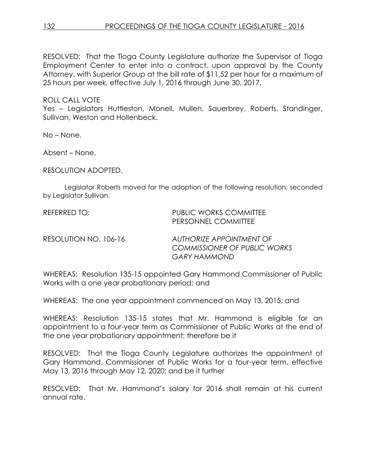RESOLVED: That the Tioga County Legislature authorize the Supervisor of Tioga Employment Center to enter into a contract, upon approval by the County Attorney, with Superior Group at the bill rate of \$11.52 per hour for a maximum of 25 hours per week, effective July 1, 2016 through June 30, 2017.

ROLL CALL VOTE

Yes – Legislators Huttleston, Monell, Mullen, Sauerbrey, Roberts, Standinger, Sullivan, Weston and Hollenbeck.

No – None.

Absent – None.

RESOLUTION ADOPTED.

Legislator Roberts moved for the adoption of the following resolution, seconded by Legislator Sullivan.

| REFERRED TO:          | <b>PUBLIC WORKS COMMITTEE</b><br>PERSONNEL COMMITTEE                                   |
|-----------------------|----------------------------------------------------------------------------------------|
| RESOLUTION NO. 106-16 | AUTHORIZE APPOINTMENT OF<br><b>COMMISSIONER OF PUBLIC WORKS</b><br><b>GARY HAMMOND</b> |

WHEREAS: Resolution 135-15 appointed Gary Hammond Commissioner of Public Works with a one year probationary period; and

WHEREAS: The one year appointment commenced on May 13, 2015; and

WHEREAS: Resolution 135-15 states that Mr. Hammond is eligible for an appointment to a four-year term as Commissioner of Public Works at the end of the one year probationary appointment; therefore be it

RESOLVED: That the Tioga County Legislature authorizes the appointment of Gary Hammond, Commissioner of Public Works for a four-year term, effective May 13, 2016 through May 12, 2020; and be it further

RESOLVED: That Mr. Hammond's salary for 2016 shall remain at his current annual rate.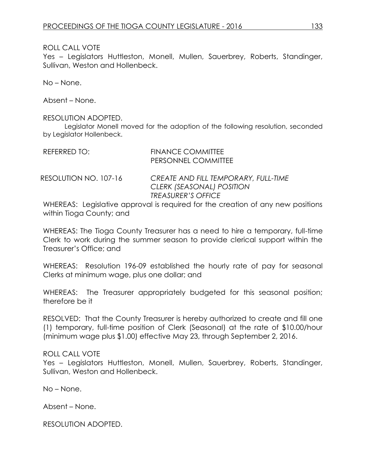#### ROLL CALL VOTE

Yes – Legislators Huttleston, Monell, Mullen, Sauerbrey, Roberts, Standinger, Sullivan, Weston and Hollenbeck.

No – None.

Absent – None.

#### RESOLUTION ADOPTED.

Legislator Monell moved for the adoption of the following resolution, seconded by Legislator Hollenbeck.

| REFERRED TO:          | <b>FINANCE COMMITTEE</b><br>PERSONNEL COMMITTEE                   |
|-----------------------|-------------------------------------------------------------------|
| RESOLUTION NO. 107-16 | CREATE AND FILL TEMPORARY, FULL-TIME<br>CLERK (SEASONAL) POSITION |

WHEREAS: Legislative approval is required for the creation of any new positions within Tioga County; and

*TREASURER'S OFFICE* 

WHEREAS: The Tioga County Treasurer has a need to hire a temporary, full-time Clerk to work during the summer season to provide clerical support within the Treasurer's Office; and

WHEREAS: Resolution 196-09 established the hourly rate of pay for seasonal Clerks at minimum wage, plus one dollar; and

WHEREAS: The Treasurer appropriately budgeted for this seasonal position; therefore be it

RESOLVED: That the County Treasurer is hereby authorized to create and fill one (1) temporary, full-time position of Clerk (Seasonal) at the rate of \$10.00/hour (minimum wage plus \$1.00) effective May 23, through September 2, 2016.

# ROLL CALL VOTE

Yes – Legislators Huttleston, Monell, Mullen, Sauerbrey, Roberts, Standinger, Sullivan, Weston and Hollenbeck.

No – None.

Absent – None.